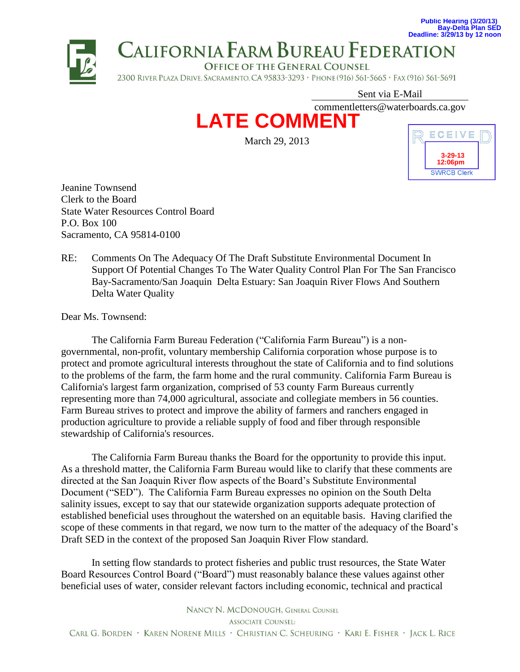

Sent via E-Mail

commentletters@waterboards.ca.gov



March 29, 2013



Jeanine Townsend Clerk to the Board State Water Resources Control Board P.O. Box 100 Sacramento, CA 95814-0100

RE: Comments On The Adequacy Of The Draft Substitute Environmental Document In Support Of Potential Changes To The Water Quality Control Plan For The San Francisco Bay-Sacramento/San Joaquin Delta Estuary: San Joaquin River Flows And Southern Delta Water Quality

Dear Ms. Townsend:

The California Farm Bureau Federation ("California Farm Bureau") is a nongovernmental, non-profit, voluntary membership California corporation whose purpose is to protect and promote agricultural interests throughout the state of California and to find solutions to the problems of the farm, the farm home and the rural community. California Farm Bureau is California's largest farm organization, comprised of 53 county Farm Bureaus currently representing more than 74,000 agricultural, associate and collegiate members in 56 counties. Farm Bureau strives to protect and improve the ability of farmers and ranchers engaged in production agriculture to provide a reliable supply of food and fiber through responsible stewardship of California's resources.

The California Farm Bureau thanks the Board for the opportunity to provide this input. As a threshold matter, the California Farm Bureau would like to clarify that these comments are directed at the San Joaquin River flow aspects of the Board's Substitute Environmental Document ("SED"). The California Farm Bureau expresses no opinion on the South Delta salinity issues, except to say that our statewide organization supports adequate protection of established beneficial uses throughout the watershed on an equitable basis. Having clarified the scope of these comments in that regard, we now turn to the matter of the adequacy of the Board's Draft SED in the context of the proposed San Joaquin River Flow standard.

In setting flow standards to protect fisheries and public trust resources, the State Water Board Resources Control Board ("Board") must reasonably balance these values against other beneficial uses of water, consider relevant factors including economic, technical and practical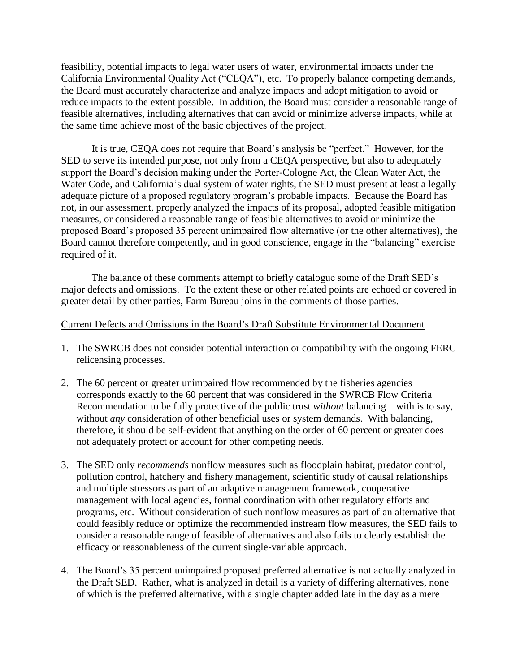feasibility, potential impacts to legal water users of water, environmental impacts under the California Environmental Quality Act ("CEQA"), etc. To properly balance competing demands, the Board must accurately characterize and analyze impacts and adopt mitigation to avoid or reduce impacts to the extent possible. In addition, the Board must consider a reasonable range of feasible alternatives, including alternatives that can avoid or minimize adverse impacts, while at the same time achieve most of the basic objectives of the project.

It is true, CEQA does not require that Board's analysis be "perfect." However, for the SED to serve its intended purpose, not only from a CEQA perspective, but also to adequately support the Board's decision making under the Porter-Cologne Act, the Clean Water Act, the Water Code, and California's dual system of water rights, the SED must present at least a legally adequate picture of a proposed regulatory program's probable impacts. Because the Board has not, in our assessment, properly analyzed the impacts of its proposal, adopted feasible mitigation measures, or considered a reasonable range of feasible alternatives to avoid or minimize the proposed Board's proposed 35 percent unimpaired flow alternative (or the other alternatives), the Board cannot therefore competently, and in good conscience, engage in the "balancing" exercise required of it.

The balance of these comments attempt to briefly catalogue some of the Draft SED's major defects and omissions. To the extent these or other related points are echoed or covered in greater detail by other parties, Farm Bureau joins in the comments of those parties.

## Current Defects and Omissions in the Board's Draft Substitute Environmental Document

- 1. The SWRCB does not consider potential interaction or compatibility with the ongoing FERC relicensing processes.
- 2. The 60 percent or greater unimpaired flow recommended by the fisheries agencies corresponds exactly to the 60 percent that was considered in the SWRCB Flow Criteria Recommendation to be fully protective of the public trust *without* balancing—with is to say, without *any* consideration of other beneficial uses or system demands. With balancing, therefore, it should be self-evident that anything on the order of 60 percent or greater does not adequately protect or account for other competing needs.
- 3. The SED only *recommends* nonflow measures such as floodplain habitat, predator control, pollution control, hatchery and fishery management, scientific study of causal relationships and multiple stressors as part of an adaptive management framework, cooperative management with local agencies, formal coordination with other regulatory efforts and programs, etc. Without consideration of such nonflow measures as part of an alternative that could feasibly reduce or optimize the recommended instream flow measures, the SED fails to consider a reasonable range of feasible of alternatives and also fails to clearly establish the efficacy or reasonableness of the current single-variable approach.
- 4. The Board's 35 percent unimpaired proposed preferred alternative is not actually analyzed in the Draft SED. Rather, what is analyzed in detail is a variety of differing alternatives, none of which is the preferred alternative, with a single chapter added late in the day as a mere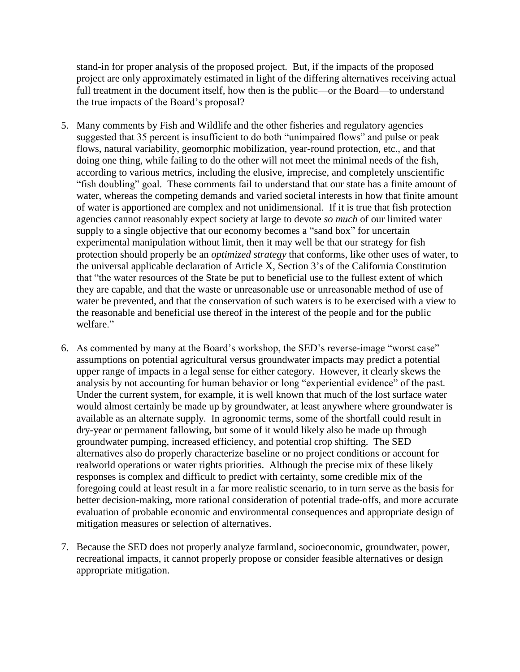stand-in for proper analysis of the proposed project. But, if the impacts of the proposed project are only approximately estimated in light of the differing alternatives receiving actual full treatment in the document itself, how then is the public—or the Board—to understand the true impacts of the Board's proposal?

- 5. Many comments by Fish and Wildlife and the other fisheries and regulatory agencies suggested that 35 percent is insufficient to do both "unimpaired flows" and pulse or peak flows, natural variability, geomorphic mobilization, year-round protection, etc., and that doing one thing, while failing to do the other will not meet the minimal needs of the fish, according to various metrics, including the elusive, imprecise, and completely unscientific "fish doubling" goal. These comments fail to understand that our state has a finite amount of water, whereas the competing demands and varied societal interests in how that finite amount of water is apportioned are complex and not unidimensional. If it is true that fish protection agencies cannot reasonably expect society at large to devote *so much* of our limited water supply to a single objective that our economy becomes a "sand box" for uncertain experimental manipulation without limit, then it may well be that our strategy for fish protection should properly be an *optimized strategy* that conforms, like other uses of water, to the universal applicable declaration of Article X, Section 3's of the California Constitution that "the water resources of the State be put to beneficial use to the fullest extent of which they are capable, and that the waste or unreasonable use or unreasonable method of use of water be prevented, and that the conservation of such waters is to be exercised with a view to the reasonable and beneficial use thereof in the interest of the people and for the public welfare."
- 6. As commented by many at the Board's workshop, the SED's reverse-image "worst case" assumptions on potential agricultural versus groundwater impacts may predict a potential upper range of impacts in a legal sense for either category. However, it clearly skews the analysis by not accounting for human behavior or long "experiential evidence" of the past. Under the current system, for example, it is well known that much of the lost surface water would almost certainly be made up by groundwater, at least anywhere where groundwater is available as an alternate supply. In agronomic terms, some of the shortfall could result in dry-year or permanent fallowing, but some of it would likely also be made up through groundwater pumping, increased efficiency, and potential crop shifting. The SED alternatives also do properly characterize baseline or no project conditions or account for realworld operations or water rights priorities. Although the precise mix of these likely responses is complex and difficult to predict with certainty, some credible mix of the foregoing could at least result in a far more realistic scenario, to in turn serve as the basis for better decision-making, more rational consideration of potential trade-offs, and more accurate evaluation of probable economic and environmental consequences and appropriate design of mitigation measures or selection of alternatives.
- 7. Because the SED does not properly analyze farmland, socioeconomic, groundwater, power, recreational impacts, it cannot properly propose or consider feasible alternatives or design appropriate mitigation.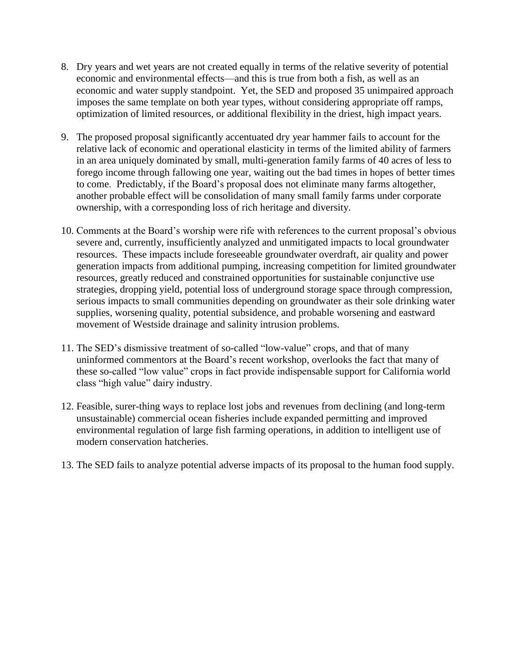- 8. Dry years and wet years are not created equally in terms of the relative severity of potential economic and environmental effects—and this is true from both a fish, as well as an economic and water supply standpoint. Yet, the SED and proposed 35 unimpaired approach imposes the same template on both year types, without considering appropriate off ramps, optimization of limited resources, or additional flexibility in the driest, high impact years.
- 9. The proposed proposal significantly accentuated dry year hammer fails to account for the relative lack of economic and operational elasticity in terms of the limited ability of farmers in an area uniquely dominated by small, multi-generation family farms of 40 acres of less to forego income through fallowing one year, waiting out the bad times in hopes of better times to come. Predictably, if the Board's proposal does not eliminate many farms altogether, another probable effect will be consolidation of many small family farms under corporate ownership, with a corresponding loss of rich heritage and diversity.
- 10. Comments at the Board's worship were rife with references to the current proposal's obvious severe and, currently, insufficiently analyzed and unmitigated impacts to local groundwater resources. These impacts include foreseeable groundwater overdraft, air quality and power generation impacts from additional pumping, increasing competition for limited groundwater resources, greatly reduced and constrained opportunities for sustainable conjunctive use strategies, dropping yield, potential loss of underground storage space through compression, serious impacts to small communities depending on groundwater as their sole drinking water supplies, worsening quality, potential subsidence, and probable worsening and eastward movement of Westside drainage and salinity intrusion problems.
- 11. The SED's dismissive treatment of so-called "low-value" crops, and that of many uninformed commentors at the Board's recent workshop, overlooks the fact that many of these so-called "low value" crops in fact provide indispensable support for California world class "high value" dairy industry.
- 12. Feasible, surer-thing ways to replace lost jobs and revenues from declining (and long-term unsustainable) commercial ocean fisheries include expanded permitting and improved environmental regulation of large fish farming operations, in addition to intelligent use of modern conservation hatcheries.
- 13. The SED fails to analyze potential adverse impacts of its proposal to the human food supply.